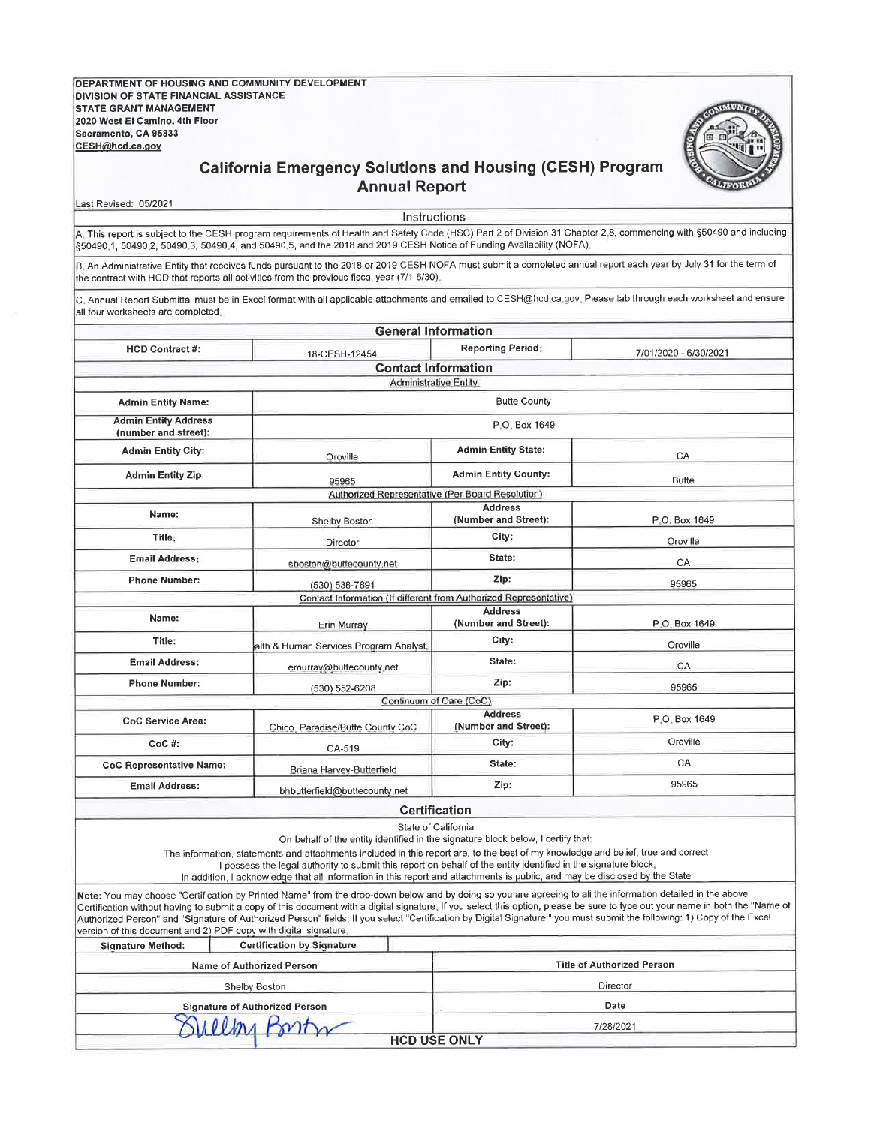**DEPARTMENT OF HOUSING AND COMMUNITY DEVELOPMENT** DIVISION OF STATE FINANCIAL ASSISTANCE **STATE GRANT MANAGEMENT** 2020 West El Camino, 4th Floor Sacramento, CA 95833 CESH@hcd.ca.gov



## **California Emergency Solutions and Housing (CESH) Program Annual Report**

Last Revised: 05/2021

Instructions A. This report is subject to the CESH program requirements of Health and Safety Code (HSC) Part 2 of Division 31 Chapter 2,8, commencing with §50490 and including \$50490.1, 50490.2, 50490.3, 50490.4, and 50490.5, and the 2018 and 2019 CESH Notice of Funding Availability (NOFA),

B. An Administrative Entity that receives funds pursuant to the 2018 or 2019 CESH NOFA must submit a completed annual report each year by July 31 for the term of the contract with HCD that reports all activities from the previous fiscal year (7/1-6/30).

C. Annual Report Submittal must be in Excel format with all applicable attachments and emailed to CESH@hcd.ca.gov. Please tab through each worksheet and ensure all four worksheets are completed.

|                                                                  |                                                                                                                                                                                                                                                                                                                                                                                                                                                                        | <b>General Information</b>                                        |                                                                                                                                                                                                                                                                                                                                                          |  |  |  |  |  |
|------------------------------------------------------------------|------------------------------------------------------------------------------------------------------------------------------------------------------------------------------------------------------------------------------------------------------------------------------------------------------------------------------------------------------------------------------------------------------------------------------------------------------------------------|-------------------------------------------------------------------|----------------------------------------------------------------------------------------------------------------------------------------------------------------------------------------------------------------------------------------------------------------------------------------------------------------------------------------------------------|--|--|--|--|--|
| <b>HCD Contract #:</b>                                           | 18-CESH-12454                                                                                                                                                                                                                                                                                                                                                                                                                                                          | <b>Reporting Period:</b>                                          | 7/01/2020 - 6/30/2021                                                                                                                                                                                                                                                                                                                                    |  |  |  |  |  |
|                                                                  |                                                                                                                                                                                                                                                                                                                                                                                                                                                                        | <b>Contact Information</b>                                        |                                                                                                                                                                                                                                                                                                                                                          |  |  |  |  |  |
|                                                                  |                                                                                                                                                                                                                                                                                                                                                                                                                                                                        | <b>Administrative Entity</b>                                      |                                                                                                                                                                                                                                                                                                                                                          |  |  |  |  |  |
| <b>Admin Entity Name:</b>                                        |                                                                                                                                                                                                                                                                                                                                                                                                                                                                        | <b>Butte County</b>                                               |                                                                                                                                                                                                                                                                                                                                                          |  |  |  |  |  |
| <b>Admin Entity Address</b><br>(number and street):              |                                                                                                                                                                                                                                                                                                                                                                                                                                                                        | P.O. Box 1649                                                     |                                                                                                                                                                                                                                                                                                                                                          |  |  |  |  |  |
| <b>Admin Entity City:</b>                                        | Oroville                                                                                                                                                                                                                                                                                                                                                                                                                                                               | <b>Admin Entity State:</b>                                        | CA                                                                                                                                                                                                                                                                                                                                                       |  |  |  |  |  |
| <b>Admin Entity Zip</b>                                          | 95965                                                                                                                                                                                                                                                                                                                                                                                                                                                                  | <b>Admin Entity County:</b>                                       | <b>Butte</b>                                                                                                                                                                                                                                                                                                                                             |  |  |  |  |  |
|                                                                  |                                                                                                                                                                                                                                                                                                                                                                                                                                                                        | Authorized Representative (Per Board Resolution)                  |                                                                                                                                                                                                                                                                                                                                                          |  |  |  |  |  |
| Name:                                                            | Shelby Boston                                                                                                                                                                                                                                                                                                                                                                                                                                                          | <b>Address</b><br>(Number and Street):                            | P.O. Box 1649                                                                                                                                                                                                                                                                                                                                            |  |  |  |  |  |
| Title:                                                           | Director                                                                                                                                                                                                                                                                                                                                                                                                                                                               | City:                                                             | Oroville                                                                                                                                                                                                                                                                                                                                                 |  |  |  |  |  |
| <b>Email Address:</b>                                            | sboston@buttecounty.net                                                                                                                                                                                                                                                                                                                                                                                                                                                | State:<br>CA                                                      |                                                                                                                                                                                                                                                                                                                                                          |  |  |  |  |  |
| <b>Phone Number:</b>                                             | (530) 538-7891                                                                                                                                                                                                                                                                                                                                                                                                                                                         | Zip:                                                              | 95965                                                                                                                                                                                                                                                                                                                                                    |  |  |  |  |  |
|                                                                  |                                                                                                                                                                                                                                                                                                                                                                                                                                                                        | Contact Information (If different from Authorized Representative) |                                                                                                                                                                                                                                                                                                                                                          |  |  |  |  |  |
| Name:                                                            | Erin Murray                                                                                                                                                                                                                                                                                                                                                                                                                                                            | <b>Address</b><br>(Number and Street):                            | P.O. Box 1649                                                                                                                                                                                                                                                                                                                                            |  |  |  |  |  |
| Title:                                                           | alth & Human Services Program Analyst                                                                                                                                                                                                                                                                                                                                                                                                                                  | City:                                                             |                                                                                                                                                                                                                                                                                                                                                          |  |  |  |  |  |
| <b>Email Address:</b>                                            | emurray@buttecounty.net                                                                                                                                                                                                                                                                                                                                                                                                                                                | State:                                                            | CA                                                                                                                                                                                                                                                                                                                                                       |  |  |  |  |  |
| <b>Phone Number:</b>                                             | (530) 552-6208                                                                                                                                                                                                                                                                                                                                                                                                                                                         | 95965                                                             |                                                                                                                                                                                                                                                                                                                                                          |  |  |  |  |  |
|                                                                  |                                                                                                                                                                                                                                                                                                                                                                                                                                                                        | Continuum of Care (CoC)                                           |                                                                                                                                                                                                                                                                                                                                                          |  |  |  |  |  |
| CoC Service Area:                                                | Chico, Paradise/Butte County CoC                                                                                                                                                                                                                                                                                                                                                                                                                                       | P.O. Box 1649                                                     |                                                                                                                                                                                                                                                                                                                                                          |  |  |  |  |  |
| $CoC$ #:                                                         | CA-519                                                                                                                                                                                                                                                                                                                                                                                                                                                                 | Oroville                                                          |                                                                                                                                                                                                                                                                                                                                                          |  |  |  |  |  |
| <b>CoC Representative Name:</b>                                  | Briana Harvey-Butterfield                                                                                                                                                                                                                                                                                                                                                                                                                                              | State:                                                            | CA                                                                                                                                                                                                                                                                                                                                                       |  |  |  |  |  |
| <b>Email Address:</b>                                            | bhbutterfield@buttecounty.net                                                                                                                                                                                                                                                                                                                                                                                                                                          | Zip:                                                              | 95965                                                                                                                                                                                                                                                                                                                                                    |  |  |  |  |  |
|                                                                  |                                                                                                                                                                                                                                                                                                                                                                                                                                                                        | <b>Certification</b>                                              |                                                                                                                                                                                                                                                                                                                                                          |  |  |  |  |  |
|                                                                  | On behalf of the entity identified in the signature block below, I certify that:<br>The information, statements and attachments included in this report are, to the best of my knowledge and belief, true and correct<br>I possess the legal authority to submit this report on behalf of the entity identified in the signature block.<br>In addition, I acknowledge that all information in this report and attachments is public, and may be disclosed by the State | State of California                                               |                                                                                                                                                                                                                                                                                                                                                          |  |  |  |  |  |
| version of this document and 2) PDF copy with digital signature. | Note: You may choose "Certification by Printed Name" from the drop-down below and by doing so you are agreeing to all the information detailed in the above                                                                                                                                                                                                                                                                                                            |                                                                   | Certification without having to submit a copy of this document with a digital signature. If you select this option, please be sure to type out your name in both the "Name of<br>Authorized Person" and "Signature of Authorized Person" fields. If you select "Certification by Digital Signature," you must submit the following: 1) Copy of the Excel |  |  |  |  |  |
| <b>Signature Method:</b>                                         | <b>Certification by Signature</b>                                                                                                                                                                                                                                                                                                                                                                                                                                      |                                                                   |                                                                                                                                                                                                                                                                                                                                                          |  |  |  |  |  |
|                                                                  | <b>Name of Authorized Person</b>                                                                                                                                                                                                                                                                                                                                                                                                                                       |                                                                   | <b>Title of Authorized Person</b>                                                                                                                                                                                                                                                                                                                        |  |  |  |  |  |
|                                                                  | Shelby Boston                                                                                                                                                                                                                                                                                                                                                                                                                                                          |                                                                   | Director                                                                                                                                                                                                                                                                                                                                                 |  |  |  |  |  |
|                                                                  | <b>Signature of Authorized Person</b>                                                                                                                                                                                                                                                                                                                                                                                                                                  |                                                                   | Date                                                                                                                                                                                                                                                                                                                                                     |  |  |  |  |  |
|                                                                  |                                                                                                                                                                                                                                                                                                                                                                                                                                                                        |                                                                   | 7/28/2021                                                                                                                                                                                                                                                                                                                                                |  |  |  |  |  |
|                                                                  |                                                                                                                                                                                                                                                                                                                                                                                                                                                                        | <b>HCD USE ONLY</b>                                               |                                                                                                                                                                                                                                                                                                                                                          |  |  |  |  |  |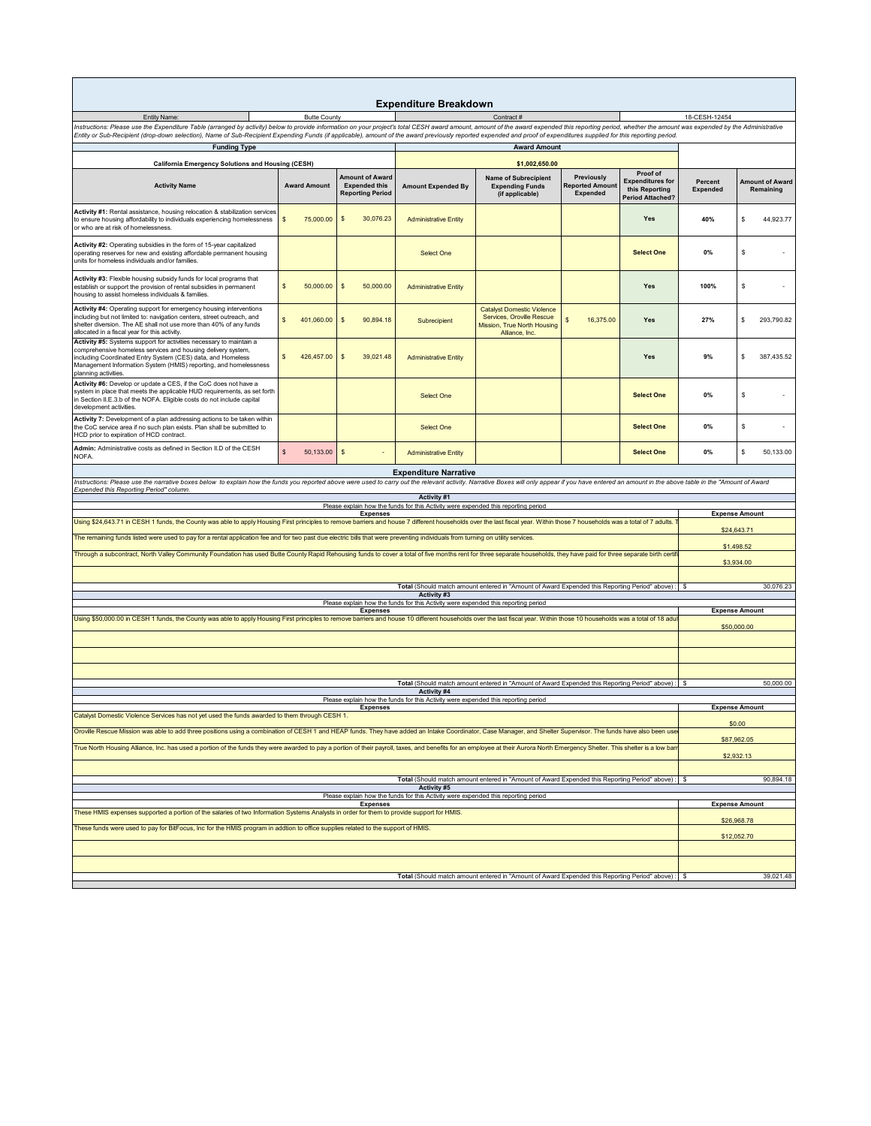| <b>Expenditure Breakdown</b>                                                                                                                                                                                                                                                                                                                                                                                                                           |                           |                                                                           |                                                                                    |                                                                                                                 |                                                         |                                                                                  |                            |                                     |  |
|--------------------------------------------------------------------------------------------------------------------------------------------------------------------------------------------------------------------------------------------------------------------------------------------------------------------------------------------------------------------------------------------------------------------------------------------------------|---------------------------|---------------------------------------------------------------------------|------------------------------------------------------------------------------------|-----------------------------------------------------------------------------------------------------------------|---------------------------------------------------------|----------------------------------------------------------------------------------|----------------------------|-------------------------------------|--|
| Entity Name:<br><b>Butte County</b><br>Contract#                                                                                                                                                                                                                                                                                                                                                                                                       |                           |                                                                           |                                                                                    |                                                                                                                 |                                                         | 18-CESH-12454                                                                    |                            |                                     |  |
| Instructions: Please use the Expenditure Table (arranged by activity) below to provide information on your project's total CESH award amount, amount of the award expended this reporting period, whether the amount was expen<br>Entity or Sub-Recipient (drop-down selection), Name of Sub-Recipient Expending Funds (if applicable), amount of the award previously reported expended and proof of expenditures supplied for this reporting period. |                           |                                                                           |                                                                                    |                                                                                                                 |                                                         |                                                                                  |                            |                                     |  |
| <b>Funding Type</b>                                                                                                                                                                                                                                                                                                                                                                                                                                    |                           |                                                                           |                                                                                    | <b>Award Amount</b>                                                                                             |                                                         |                                                                                  |                            |                                     |  |
| California Emergency Solutions and Housing (CESH)<br><b>Activity Name</b>                                                                                                                                                                                                                                                                                                                                                                              | <b>Award Amount</b>       | <b>Amount of Award</b><br><b>Expended this</b><br><b>Reporting Period</b> | <b>Amount Expended By</b>                                                          | \$1,002,650.00<br><b>Name of Subrecipient</b><br><b>Expending Funds</b><br>(if applicable)                      | Previously<br><b>Reported Amount</b><br><b>Expended</b> | Proof of<br><b>Expenditures for</b><br>this Reporting<br><b>Period Attached?</b> | Percent<br><b>Expended</b> | <b>Amount of Award</b><br>Remaining |  |
| Activity #1: Rental assistance, housing relocation & stabilization services<br>to ensure housing affordability to individuals experiencing homelessness<br>or who are at risk of homelessness.                                                                                                                                                                                                                                                         | \$<br>75,000.00           | $\mathfrak s$<br>30,076.23                                                | <b>Administrative Entity</b>                                                       |                                                                                                                 |                                                         | Yes                                                                              | 40%                        | \$<br>44,923.77                     |  |
| Activity #2: Operating subsidies in the form of 15-year capitalized<br>operating reserves for new and existing affordable permanent housing<br>units for homeless individuals and/or families.                                                                                                                                                                                                                                                         |                           |                                                                           | Select One                                                                         |                                                                                                                 |                                                         | <b>Select One</b>                                                                | 0%                         | \$                                  |  |
| Activity #3: Flexible housing subsidy funds for local programs that<br>establish or support the provision of rental subsidies in permanent<br>housing to assist homeless individuals & families.                                                                                                                                                                                                                                                       | \$<br>50,000.00           | $\mathsf{s}$<br>50,000.00                                                 | <b>Administrative Entity</b>                                                       |                                                                                                                 |                                                         | Yes                                                                              | 100%                       | \$                                  |  |
| Activity #4: Operating support for emergency housing interventions<br>including but not limited to: navigation centers, street outreach, and<br>shelter diversion. The AE shall not use more than 40% of any funds<br>allocated in a fiscal year for this activity.                                                                                                                                                                                    | s<br>401,060.00           | $\mathsf{s}$<br>90,894.18                                                 | Subrecipient                                                                       | <b>Catalyst Domestic Violence</b><br>Services, Oroville Rescue<br>Mission, True North Housing<br>Alliance, Inc. | S<br>16,375.00                                          | Yes                                                                              | 27%                        | \$<br>293,790.82                    |  |
| Activity #5: Systems support for activities necessary to maintain a<br>comprehensive homeless services and housing delivery system,<br>including Coordinated Entry System (CES) data, and Homeless<br>Management Information System (HMIS) reporting, and homelessness<br>planning activities.                                                                                                                                                         | 426,457.00<br>s           | 39,021.48<br><sub>S</sub>                                                 | <b>Administrative Entity</b>                                                       |                                                                                                                 |                                                         | Yes                                                                              | 9%                         | 387,435.52<br>s                     |  |
| Activity #6: Develop or update a CES, if the CoC does not have a<br>system in place that meets the applicable HUD requirements, as set forth<br>in Section II.E.3.b of the NOFA. Eligible costs do not include capital<br>development activities.                                                                                                                                                                                                      |                           |                                                                           | Select One                                                                         |                                                                                                                 |                                                         | <b>Select One</b>                                                                | 0%                         | \$                                  |  |
| Activity 7: Development of a plan addressing actions to be taken within<br>the CoC service area if no such plan exists. Plan shall be submitted to<br>HCD prior to expiration of HCD contract.                                                                                                                                                                                                                                                         |                           |                                                                           | <b>Select One</b>                                                                  |                                                                                                                 |                                                         | <b>Select One</b>                                                                | 0%                         | \$                                  |  |
| Admin: Administrative costs as defined in Section II.D of the CESH<br>NOFA.                                                                                                                                                                                                                                                                                                                                                                            | $\mathsf{s}$<br>50,133.00 | $\sqrt{5}$                                                                | <b>Administrative Entity</b>                                                       |                                                                                                                 |                                                         | <b>Select One</b>                                                                | 0%                         | \$<br>50,133.00                     |  |
|                                                                                                                                                                                                                                                                                                                                                                                                                                                        |                           |                                                                           | <b>Expenditure Narrative</b>                                                       |                                                                                                                 |                                                         |                                                                                  |                            |                                     |  |
| Instructions: Please use the narrative boxes below to explain how the funds you reported above were used to carry out the relevant activity. Narrative Boxes will only appear if you have entered an amount in the above table<br>Expended this Reporting Period" column.                                                                                                                                                                              |                           |                                                                           |                                                                                    |                                                                                                                 |                                                         |                                                                                  |                            |                                     |  |
| Activity #1<br>Please explain how the funds for this Activity were expended this reporting period                                                                                                                                                                                                                                                                                                                                                      |                           |                                                                           |                                                                                    |                                                                                                                 |                                                         |                                                                                  |                            |                                     |  |
|                                                                                                                                                                                                                                                                                                                                                                                                                                                        |                           | <b>Expenses</b>                                                           |                                                                                    |                                                                                                                 |                                                         |                                                                                  | <b>Expense Amount</b>      |                                     |  |
| Using \$24,643.71 in CESH 1 funds, the County was able to apply Housing First principles to remove barriers and house 7 different households over the last fiscal year. Within those 7 households was a total of 7 adults.<br>The remaining funds listed were used to pay for a rental application fee and for two past due electric bills that were preventing individuals from turning on utility services.                                          |                           |                                                                           |                                                                                    |                                                                                                                 |                                                         |                                                                                  |                            | \$24,643.71                         |  |
| Through a subcontract, North Valley Community Foundation has used Butte County Rapid Rehousing funds to cover a total of five months rent for three separate households, they have paid for three separate birth certifi                                                                                                                                                                                                                               |                           |                                                                           |                                                                                    |                                                                                                                 |                                                         |                                                                                  |                            | \$1,498.52<br>\$3,934.00            |  |
| Total (Should match amount entered in "Amount of Award Expended this Reporting Period" above) :   \$                                                                                                                                                                                                                                                                                                                                                   |                           |                                                                           |                                                                                    |                                                                                                                 |                                                         |                                                                                  |                            | 30,076.23                           |  |
|                                                                                                                                                                                                                                                                                                                                                                                                                                                        |                           |                                                                           | Activity #3                                                                        |                                                                                                                 |                                                         |                                                                                  |                            |                                     |  |
| Please explain how the funds for this Activity were expended this reporting period<br><b>Expenses</b>                                                                                                                                                                                                                                                                                                                                                  |                           |                                                                           |                                                                                    |                                                                                                                 |                                                         |                                                                                  |                            | <b>Expense Amount</b>               |  |
| Using \$50,000.00 in CESH 1 funds, the County was able to apply Housing First principles to remove barriers and house 10 different households over the last fiscal year. Within those 10 households was a total of 18 adu                                                                                                                                                                                                                              |                           |                                                                           |                                                                                    |                                                                                                                 |                                                         |                                                                                  | \$50,000.00                |                                     |  |
|                                                                                                                                                                                                                                                                                                                                                                                                                                                        |                           |                                                                           |                                                                                    |                                                                                                                 |                                                         |                                                                                  |                            |                                     |  |
|                                                                                                                                                                                                                                                                                                                                                                                                                                                        |                           |                                                                           |                                                                                    |                                                                                                                 |                                                         |                                                                                  |                            |                                     |  |
|                                                                                                                                                                                                                                                                                                                                                                                                                                                        |                           |                                                                           | Activity #4                                                                        | Total (Should match amount entered in "Amount of Award Expended this Reporting Period" above) :                 |                                                         |                                                                                  | - S                        | 50,000.00                           |  |
|                                                                                                                                                                                                                                                                                                                                                                                                                                                        |                           | <b>Expenses</b>                                                           | Please explain how the funds for this Activity were expended this reporting period |                                                                                                                 |                                                         |                                                                                  |                            | <b>Expense Amount</b>               |  |
| Catalyst Domestic Violence Services has not yet used the funds awarded to them through CESH 1.                                                                                                                                                                                                                                                                                                                                                         |                           |                                                                           |                                                                                    |                                                                                                                 |                                                         |                                                                                  |                            | \$0.00                              |  |
| Oroville Rescue Mission was able to add three positions using a combination of CESH 1 and HEAP funds. They have added an Intake Coordinator, Case Manager, and Shelter Supervisor. The funds have also been use<br>True North Housing Alliance, Inc. has used a portion of the funds they were awarded to pay a portion of their payroll, taxes, and benefits for an employee at their Aurora North Emergency Shelter. This shelter is a low ban       |                           |                                                                           |                                                                                    |                                                                                                                 |                                                         |                                                                                  |                            | \$87,962.05                         |  |
|                                                                                                                                                                                                                                                                                                                                                                                                                                                        |                           |                                                                           |                                                                                    |                                                                                                                 |                                                         |                                                                                  |                            | \$2,932.13                          |  |
| Total (Should match amount entered in "Amount of Award Expended this Reporting Period" above) :                                                                                                                                                                                                                                                                                                                                                        |                           |                                                                           |                                                                                    |                                                                                                                 |                                                         |                                                                                  |                            | 90,894.18                           |  |
| Activity #5<br>Please explain how the funds for this Activity were expended this reporting period                                                                                                                                                                                                                                                                                                                                                      |                           |                                                                           |                                                                                    |                                                                                                                 |                                                         |                                                                                  |                            |                                     |  |
| <b>Expenses</b><br>These HMIS expenses supported a portion of the salaries of two Information Systems Analysts in order for them to provide support for HMIS.                                                                                                                                                                                                                                                                                          |                           |                                                                           |                                                                                    |                                                                                                                 |                                                         |                                                                                  | <b>Expense Amount</b>      |                                     |  |
| These funds were used to pay for BitFocus, Inc for the HMIS program in addtion to office supplies related to the support of HMIS.                                                                                                                                                                                                                                                                                                                      |                           |                                                                           |                                                                                    |                                                                                                                 |                                                         |                                                                                  | \$26,968.78                |                                     |  |
|                                                                                                                                                                                                                                                                                                                                                                                                                                                        |                           |                                                                           |                                                                                    |                                                                                                                 |                                                         |                                                                                  |                            | \$12,052.70                         |  |
|                                                                                                                                                                                                                                                                                                                                                                                                                                                        |                           |                                                                           |                                                                                    |                                                                                                                 |                                                         |                                                                                  |                            |                                     |  |
| Total (Should match amount entered in "Amount of Award Expended this Reporting Period" above) :<br>-S                                                                                                                                                                                                                                                                                                                                                  |                           |                                                                           |                                                                                    |                                                                                                                 |                                                         |                                                                                  |                            | 39,021.48                           |  |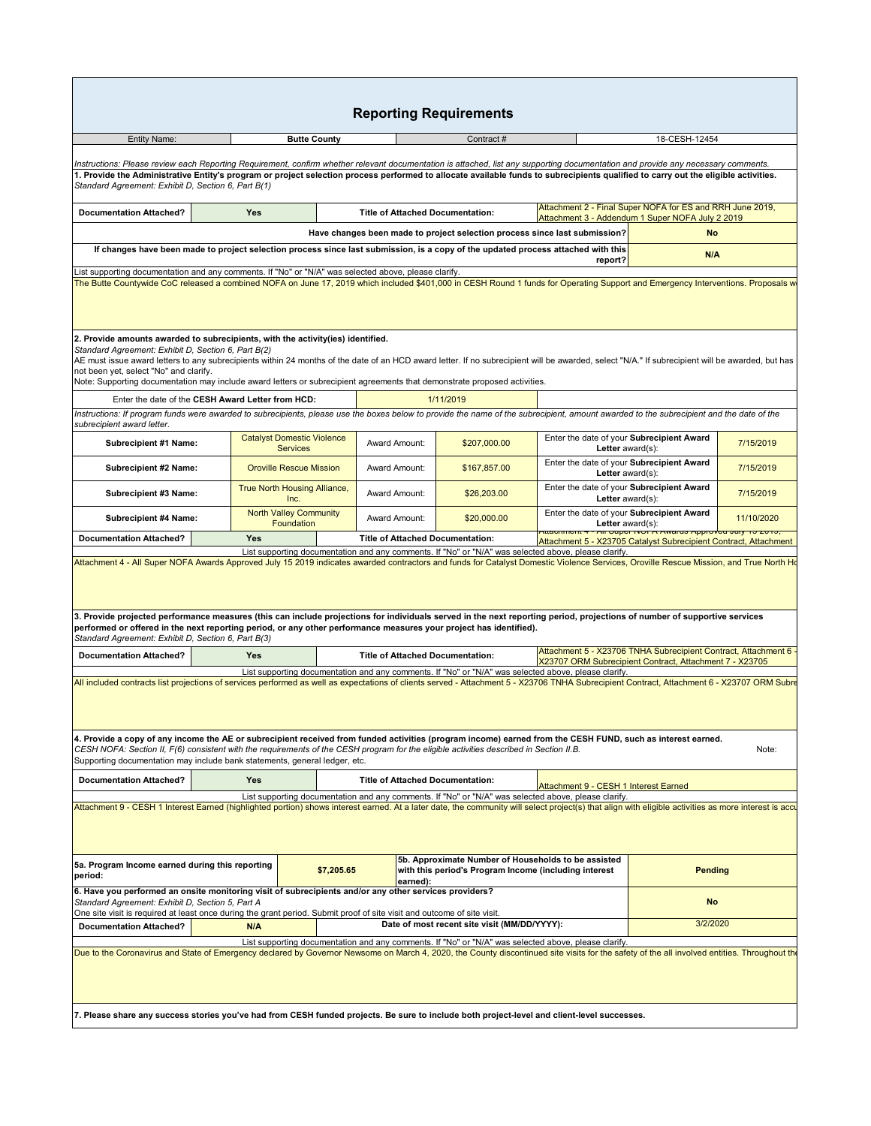| <b>Reporting Requirements</b>                                                                                                                                                                                                                                                                                                                                                                                                                                                                                                                                                       |                                                      |                     |                                                                                                                                                                                                                                                                                |                                                                                                      |                                                               |                                                                  |            |  |
|-------------------------------------------------------------------------------------------------------------------------------------------------------------------------------------------------------------------------------------------------------------------------------------------------------------------------------------------------------------------------------------------------------------------------------------------------------------------------------------------------------------------------------------------------------------------------------------|------------------------------------------------------|---------------------|--------------------------------------------------------------------------------------------------------------------------------------------------------------------------------------------------------------------------------------------------------------------------------|------------------------------------------------------------------------------------------------------|---------------------------------------------------------------|------------------------------------------------------------------|------------|--|
| <b>Entity Name:</b>                                                                                                                                                                                                                                                                                                                                                                                                                                                                                                                                                                 |                                                      | <b>Butte County</b> |                                                                                                                                                                                                                                                                                | Contract#                                                                                            |                                                               | 18-CESH-12454                                                    |            |  |
| Instructions: Please review each Reporting Requirement, confirm whether relevant documentation is attached, list any supporting documentation and provide any necessary comments.                                                                                                                                                                                                                                                                                                                                                                                                   |                                                      |                     |                                                                                                                                                                                                                                                                                |                                                                                                      |                                                               |                                                                  |            |  |
| 1. Provide the Administrative Entity's program or project selection process performed to allocate available funds to subrecipients qualified to carry out the eligible activities.<br>Standard Agreement: Exhibit D, Section 6, Part B(1)                                                                                                                                                                                                                                                                                                                                           |                                                      |                     |                                                                                                                                                                                                                                                                                |                                                                                                      |                                                               |                                                                  |            |  |
| Attachment 2 - Final Super NOFA for ES and RRH June 2019,<br><b>Documentation Attached?</b><br><b>Yes</b><br><b>Title of Attached Documentation:</b><br>Attachment 3 - Addendum 1 Super NOFA July 2 2019                                                                                                                                                                                                                                                                                                                                                                            |                                                      |                     |                                                                                                                                                                                                                                                                                |                                                                                                      |                                                               |                                                                  |            |  |
|                                                                                                                                                                                                                                                                                                                                                                                                                                                                                                                                                                                     |                                                      |                     |                                                                                                                                                                                                                                                                                | Have changes been made to project selection process since last submission?                           |                                                               | <b>No</b>                                                        |            |  |
| If changes have been made to project selection process since last submission, is a copy of the updated process attached with this<br>N/A<br>report?                                                                                                                                                                                                                                                                                                                                                                                                                                 |                                                      |                     |                                                                                                                                                                                                                                                                                |                                                                                                      |                                                               |                                                                  |            |  |
| List supporting documentation and any comments. If "No" or "N/A" was selected above, please clarify.<br>The Butte Countywide CoC released a combined NOFA on June 17, 2019 which included \$401,000 in CESH Round 1 funds for Operating Support and Emergency Interventions. Proposals w                                                                                                                                                                                                                                                                                            |                                                      |                     |                                                                                                                                                                                                                                                                                |                                                                                                      |                                                               |                                                                  |            |  |
| 2. Provide amounts awarded to subrecipients, with the activity(ies) identified.<br>Standard Agreement: Exhibit D, Section 6, Part B(2)<br>AE must issue award letters to any subrecipients within 24 months of the date of an HCD award letter. If no subrecipient will be awarded, select "N/A." If subrecipient will be awarded, but has<br>not been yet, select "No" and clarify.<br>Note: Supporting documentation may include award letters or subrecipient agreements that demonstrate proposed activities.                                                                   |                                                      |                     |                                                                                                                                                                                                                                                                                |                                                                                                      |                                                               |                                                                  |            |  |
|                                                                                                                                                                                                                                                                                                                                                                                                                                                                                                                                                                                     | Enter the date of the CESH Award Letter from HCD:    |                     |                                                                                                                                                                                                                                                                                | 1/11/2019                                                                                            |                                                               |                                                                  |            |  |
| Instructions: If program funds were awarded to subrecipients, please use the boxes below to provide the name of the subrecipient, amount awarded to the subrecipient and the date of the<br>subrecipient award letter.                                                                                                                                                                                                                                                                                                                                                              |                                                      |                     |                                                                                                                                                                                                                                                                                |                                                                                                      |                                                               |                                                                  |            |  |
| Subrecipient #1 Name:                                                                                                                                                                                                                                                                                                                                                                                                                                                                                                                                                               | <b>Catalyst Domestic Violence</b><br><b>Services</b> |                     | Award Amount:                                                                                                                                                                                                                                                                  | \$207,000.00                                                                                         | Letter $award(s)$ :                                           | Enter the date of your Subrecipient Award                        | 7/15/2019  |  |
| Subrecipient #2 Name:                                                                                                                                                                                                                                                                                                                                                                                                                                                                                                                                                               | <b>Oroville Rescue Mission</b>                       |                     | Award Amount:                                                                                                                                                                                                                                                                  | \$167,857.00                                                                                         | Enter the date of your Subrecipient Award<br>Letter award(s): |                                                                  | 7/15/2019  |  |
| Subrecipient #3 Name:                                                                                                                                                                                                                                                                                                                                                                                                                                                                                                                                                               | True North Housing Alliance,<br>Inc.                 |                     | Award Amount:                                                                                                                                                                                                                                                                  | \$26,203.00                                                                                          | Enter the date of your Subrecipient Award<br>Letter award(s): |                                                                  | 7/15/2019  |  |
| <b>Subrecipient #4 Name:</b>                                                                                                                                                                                                                                                                                                                                                                                                                                                                                                                                                        | <b>North Valley Community</b><br>Foundation          |                     | Award Amount:                                                                                                                                                                                                                                                                  | \$20,000.00                                                                                          | Enter the date of your Subrecipient Award<br>Letter award(s): |                                                                  | 11/10/2020 |  |
| <b>Documentation Attached?</b>                                                                                                                                                                                                                                                                                                                                                                                                                                                                                                                                                      | <b>Yes</b>                                           |                     | <b>Title of Attached Documentation:</b>                                                                                                                                                                                                                                        | List supporting documentation and any comments. If "No" or "N/A" was selected above, please clarify. |                                                               | Attachment 5 - X23705 Catalyst Subrecipient Contract, Attachment |            |  |
| 3. Provide projected performance measures (this can include projections for individuals served in the next reporting period, projections of number of supportive services<br>performed or offered in the next reporting period, or any other performance measures your project has identified).<br>Standard Agreement: Exhibit D, Section 6, Part B(3)                                                                                                                                                                                                                              |                                                      |                     |                                                                                                                                                                                                                                                                                |                                                                                                      |                                                               |                                                                  |            |  |
| <b>Documentation Attached?</b>                                                                                                                                                                                                                                                                                                                                                                                                                                                                                                                                                      | Yes                                                  |                     | Attachment 5 - X23706 TNHA Subrecipient Contract, Attachment 6 -<br><b>Title of Attached Documentation:</b><br>X23707 ORM Subrecipient Contract, Attachment 7 - X23705<br>List supporting documentation and any comments. If "No" or "N/A" was selected above, please clarify. |                                                                                                      |                                                               |                                                                  |            |  |
| All included contracts list projections of services performed as well as expectations of clients served - Attachment 5 - X23706 TNHA Subrecipient Contract, Attachment 6 - X23707 ORM Subre<br>4. Provide a copy of any income the AE or subrecipient received from funded activities (program income) earned from the CESH FUND, such as interest earned.<br>CESH NOFA: Section II, F(6) consistent with the requirements of the CESH program for the eligible activities described in Section II.B.<br>Supporting documentation may include bank statements, general ledger, etc. |                                                      |                     |                                                                                                                                                                                                                                                                                |                                                                                                      |                                                               |                                                                  | Note:      |  |
| <b>Documentation Attached?</b>                                                                                                                                                                                                                                                                                                                                                                                                                                                                                                                                                      | Yes                                                  |                     | <b>Title of Attached Documentation:</b>                                                                                                                                                                                                                                        |                                                                                                      | Attachment 9 - CESH 1 Interest Earned                         |                                                                  |            |  |
| List supporting documentation and any comments. If "No" or "N/A" was selected above, please clarify.<br>Attachment 9 - CESH 1 Interest Earned (highlighted portion) shows interest earned. At a later date, the community will select project(s) that align with eligible activities as more interest is acc                                                                                                                                                                                                                                                                        |                                                      |                     |                                                                                                                                                                                                                                                                                |                                                                                                      |                                                               |                                                                  |            |  |
|                                                                                                                                                                                                                                                                                                                                                                                                                                                                                                                                                                                     |                                                      |                     |                                                                                                                                                                                                                                                                                |                                                                                                      |                                                               |                                                                  |            |  |
| 5b. Approximate Number of Households to be assisted<br>5a. Program Income earned during this reporting<br>\$7,205.65<br>with this period's Program Income (including interest<br>period:<br>earned):                                                                                                                                                                                                                                                                                                                                                                                |                                                      |                     |                                                                                                                                                                                                                                                                                |                                                                                                      | <b>Pending</b>                                                |                                                                  |            |  |
| 6. Have you performed an onsite monitoring visit of subrecipients and/or any other services providers?<br>Standard Agreement: Exhibit D, Section 5, Part A<br>One site visit is required at least once during the grant period. Submit proof of site visit and outcome of site visit.                                                                                                                                                                                                                                                                                               |                                                      |                     |                                                                                                                                                                                                                                                                                |                                                                                                      |                                                               | <b>No</b>                                                        |            |  |
| <b>Documentation Attached?</b>                                                                                                                                                                                                                                                                                                                                                                                                                                                                                                                                                      | N/A                                                  |                     |                                                                                                                                                                                                                                                                                | Date of most recent site visit (MM/DD/YYYY):                                                         |                                                               | 3/2/2020                                                         |            |  |
| Due to the Coronavirus and State of Emergency declared by Governor Newsome on March 4, 2020, the County discontinued site visits for the safety of the all involved entities. Throughout th                                                                                                                                                                                                                                                                                                                                                                                         |                                                      |                     |                                                                                                                                                                                                                                                                                | List supporting documentation and any comments. If "No" or "N/A" was selected above, please clarify. |                                                               |                                                                  |            |  |
| 7. Please share any success stories you've had from CESH funded projects. Be sure to include both project-level and client-level successes.                                                                                                                                                                                                                                                                                                                                                                                                                                         |                                                      |                     |                                                                                                                                                                                                                                                                                |                                                                                                      |                                                               |                                                                  |            |  |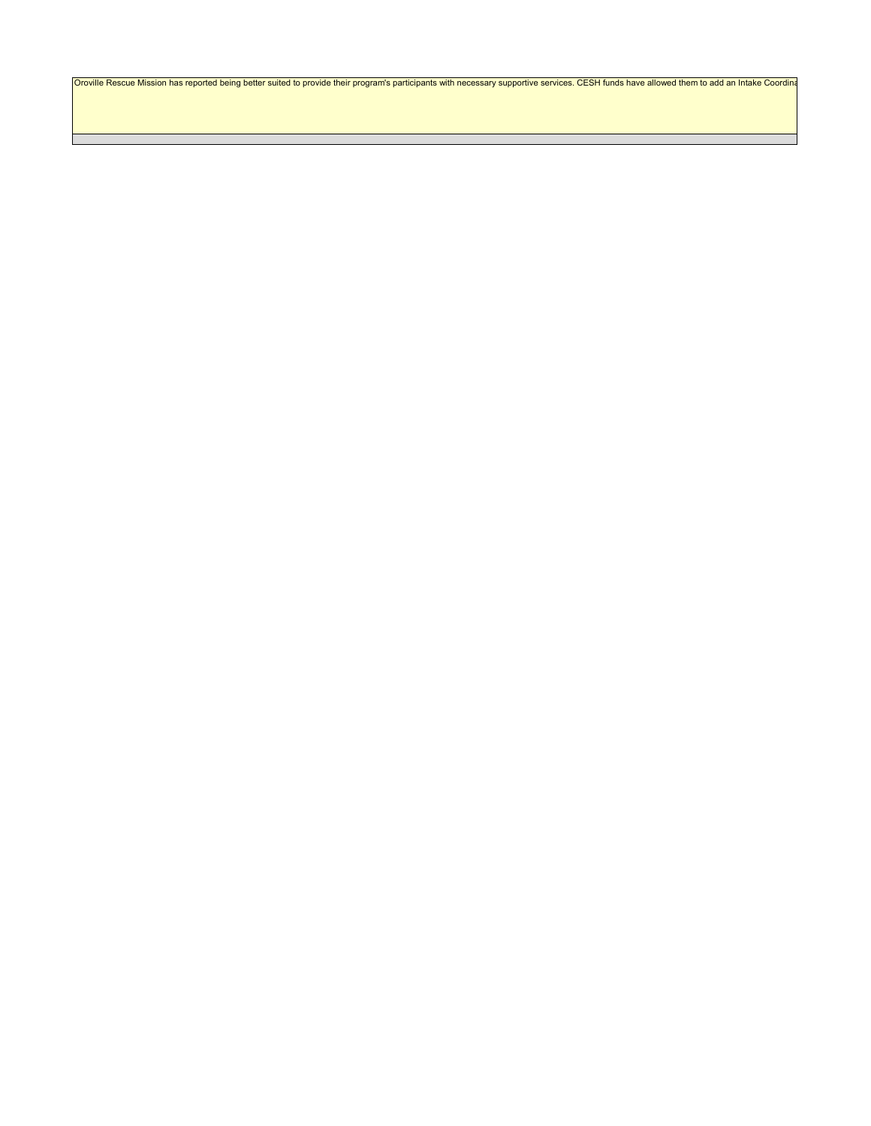Oroville Rescue Mission has reported being better suited to provide their program's participants with necessary supportive services. CESH funds have allowed them to add an Intake Coordina